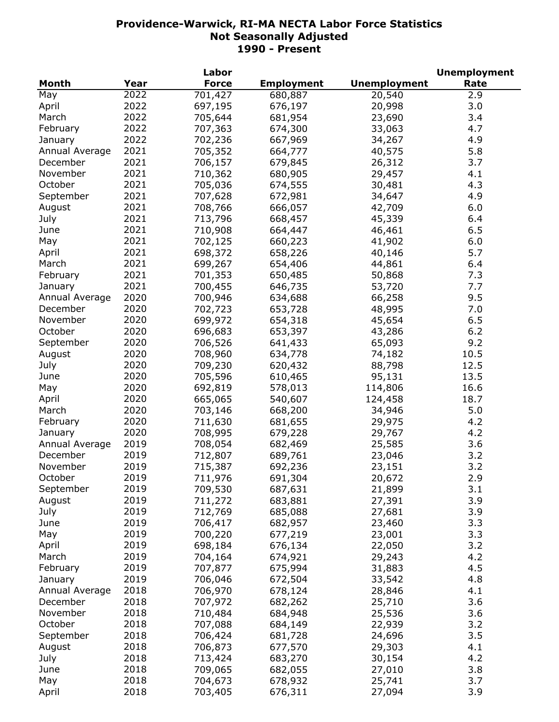|                |      | Labor        |                    |                     | <b>Unemployment</b> |
|----------------|------|--------------|--------------------|---------------------|---------------------|
| <b>Month</b>   | Year | <b>Force</b> | <b>Employment</b>  | <b>Unemployment</b> | Rate                |
| May            | 2022 | 701,427      | 680,887            | 20,540              | 2.9                 |
| April          | 2022 | 697,195      | 676,197            | 20,998              | 3.0                 |
| March          | 2022 | 705,644      | 681,954            | 23,690              | 3.4                 |
| February       | 2022 | 707,363      | 674,300            | 33,063              | 4.7                 |
| January        | 2022 | 702,236      | 667,969            | 34,267              | 4.9                 |
| Annual Average | 2021 | 705,352      | 664,777            | 40,575              | 5.8                 |
| December       | 2021 | 706,157      | 679,845            | 26,312              | 3.7                 |
| November       | 2021 | 710,362      | 680,905            | 29,457              | 4.1                 |
| October        | 2021 | 705,036      | 674,555            | 30,481              | 4.3                 |
| September      | 2021 | 707,628      | 672,981            | 34,647              | 4.9                 |
|                | 2021 | 708,766      | 666,057            | 42,709              | 6.0                 |
| August         | 2021 |              |                    |                     |                     |
| July           |      | 713,796      | 668,457            | 45,339              | 6.4                 |
| June           | 2021 | 710,908      | 664,447            | 46,461              | 6.5                 |
| May            | 2021 | 702,125      | 660,223            | 41,902              | 6.0                 |
| April          | 2021 | 698,372      | 658,226            | 40,146              | 5.7                 |
| March          | 2021 | 699,267      | 654,406            | 44,861              | 6.4                 |
| February       | 2021 | 701,353      | 650,485            | 50,868              | 7.3                 |
| January        | 2021 | 700,455      | 646,735            | 53,720              | 7.7                 |
| Annual Average | 2020 | 700,946      | 634,688            | 66,258              | 9.5                 |
| December       | 2020 | 702,723      | 653,728            | 48,995              | 7.0                 |
| November       | 2020 | 699,972      | 654,318            | 45,654              | 6.5                 |
| October        | 2020 | 696,683      | 653,397            | 43,286              | 6.2                 |
| September      | 2020 | 706,526      | 641,433            | 65,093              | 9.2                 |
| August         | 2020 | 708,960      | 634,778            | 74,182              | 10.5                |
| July           | 2020 | 709,230      | 620,432            | 88,798              | 12.5                |
| June           | 2020 | 705,596      | 610,465            | 95,131              | 13.5                |
| May            | 2020 | 692,819      | 578,013            | 114,806             | 16.6                |
| April          | 2020 | 665,065      | 540,607            | 124,458             | 18.7                |
| March          | 2020 | 703,146      | 668,200            | 34,946              | 5.0                 |
| February       | 2020 | 711,630      | 681,655            | 29,975              | 4.2                 |
| January        | 2020 | 708,995      | 679,228            | 29,767              | 4.2                 |
| Annual Average | 2019 | 708,054      | 682,469            | 25,585              | 3.6                 |
| December       | 2019 | 712,807      | 689,761            | 23,046              | 3.2                 |
| November       | 2019 | 715,387      | 692,236            | 23,151              | 3.2                 |
| October        | 2019 | 711,976      | 691,304            | 20,672              | 2.9                 |
| September      | 2019 | 709,530      | 687,631            | 21,899              | 3.1                 |
| August         | 2019 | 711,272      | 683,881            | 27,391              | 3.9                 |
|                | 2019 |              |                    |                     | 3.9                 |
| July<br>June   | 2019 | 712,769      | 685,088<br>682,957 | 27,681              | 3.3                 |
|                |      | 706,417      |                    | 23,460              |                     |
| May            | 2019 | 700,220      | 677,219            | 23,001              | 3.3                 |
| April          | 2019 | 698,184      | 676,134            | 22,050              | 3.2                 |
| March          | 2019 | 704,164      | 674,921            | 29,243              | 4.2                 |
| February       | 2019 | 707,877      | 675,994            | 31,883              | 4.5                 |
| January        | 2019 | 706,046      | 672,504            | 33,542              | 4.8                 |
| Annual Average | 2018 | 706,970      | 678,124            | 28,846              | 4.1                 |
| December       | 2018 | 707,972      | 682,262            | 25,710              | 3.6                 |
| November       | 2018 | 710,484      | 684,948            | 25,536              | 3.6                 |
| October        | 2018 | 707,088      | 684,149            | 22,939              | 3.2                 |
| September      | 2018 | 706,424      | 681,728            | 24,696              | 3.5                 |
| August         | 2018 | 706,873      | 677,570            | 29,303              | 4.1                 |
| July           | 2018 | 713,424      | 683,270            | 30,154              | 4.2                 |
| June           | 2018 | 709,065      | 682,055            | 27,010              | 3.8                 |
| May            | 2018 | 704,673      | 678,932            | 25,741              | 3.7                 |
| April          | 2018 | 703,405      | 676,311            | 27,094              | 3.9                 |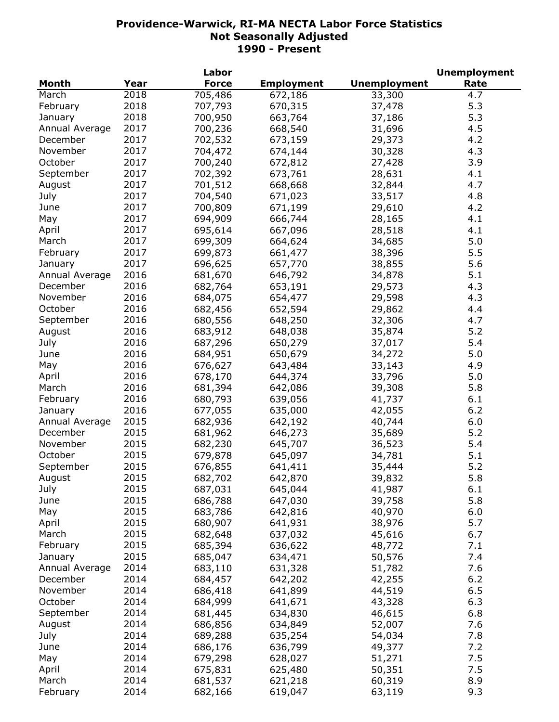|                |      | Labor        |                   |                     | <b>Unemployment</b> |
|----------------|------|--------------|-------------------|---------------------|---------------------|
| <b>Month</b>   | Year | <b>Force</b> | <b>Employment</b> | <b>Unemployment</b> | Rate                |
| March          | 2018 | 705,486      | 672,186           | 33,300              | 4.7                 |
| February       | 2018 | 707,793      | 670,315           | 37,478              | 5.3                 |
| January        | 2018 | 700,950      | 663,764           | 37,186              | 5.3                 |
| Annual Average | 2017 | 700,236      | 668,540           | 31,696              | 4.5                 |
| December       | 2017 | 702,532      | 673,159           | 29,373              | 4.2                 |
| November       | 2017 | 704,472      | 674,144           | 30,328              | 4.3                 |
| October        | 2017 | 700,240      | 672,812           | 27,428              | 3.9                 |
| September      | 2017 | 702,392      | 673,761           | 28,631              | 4.1                 |
| August         | 2017 | 701,512      | 668,668           | 32,844              | 4.7                 |
| July           | 2017 | 704,540      | 671,023           | 33,517              | 4.8                 |
| June           | 2017 | 700,809      | 671,199           | 29,610              | 4.2                 |
|                | 2017 |              |                   |                     |                     |
| May            |      | 694,909      | 666,744           | 28,165              | 4.1                 |
| April          | 2017 | 695,614      | 667,096           | 28,518              | 4.1                 |
| March          | 2017 | 699,309      | 664,624           | 34,685              | 5.0                 |
| February       | 2017 | 699,873      | 661,477           | 38,396              | 5.5                 |
| January        | 2017 | 696,625      | 657,770           | 38,855              | 5.6                 |
| Annual Average | 2016 | 681,670      | 646,792           | 34,878              | 5.1                 |
| December       | 2016 | 682,764      | 653,191           | 29,573              | 4.3                 |
| November       | 2016 | 684,075      | 654,477           | 29,598              | 4.3                 |
| October        | 2016 | 682,456      | 652,594           | 29,862              | 4.4                 |
| September      | 2016 | 680,556      | 648,250           | 32,306              | 4.7                 |
| August         | 2016 | 683,912      | 648,038           | 35,874              | 5.2                 |
| July           | 2016 | 687,296      | 650,279           | 37,017              | 5.4                 |
| June           | 2016 | 684,951      | 650,679           | 34,272              | 5.0                 |
| May            | 2016 | 676,627      | 643,484           | 33,143              | 4.9                 |
| April          | 2016 | 678,170      | 644,374           | 33,796              | 5.0                 |
| March          | 2016 | 681,394      | 642,086           | 39,308              | 5.8                 |
| February       | 2016 | 680,793      | 639,056           | 41,737              | 6.1                 |
| January        | 2016 | 677,055      | 635,000           | 42,055              | 6.2                 |
| Annual Average | 2015 | 682,936      | 642,192           | 40,744              | 6.0                 |
| December       | 2015 | 681,962      | 646,273           | 35,689              | 5.2                 |
| November       | 2015 | 682,230      | 645,707           | 36,523              | 5.4                 |
| October        | 2015 | 679,878      | 645,097           | 34,781              | 5.1                 |
| September      | 2015 | 676,855      | 641,411           | 35,444              | 5.2                 |
| August         | 2015 | 682,702      | 642,870           | 39,832              | 5.8                 |
| July           | 2015 | 687,031      | 645,044           | 41,987              | 6.1                 |
| June           | 2015 |              |                   |                     | 5.8                 |
|                | 2015 | 686,788      | 647,030           | 39,758              |                     |
| May            |      | 683,786      | 642,816           | 40,970              | 6.0                 |
| April          | 2015 | 680,907      | 641,931           | 38,976              | 5.7                 |
| March          | 2015 | 682,648      | 637,032           | 45,616              | 6.7                 |
| February       | 2015 | 685,394      | 636,622           | 48,772              | 7.1                 |
| January        | 2015 | 685,047      | 634,471           | 50,576              | 7.4                 |
| Annual Average | 2014 | 683,110      | 631,328           | 51,782              | 7.6                 |
| December       | 2014 | 684,457      | 642,202           | 42,255              | $6.2$               |
| November       | 2014 | 686,418      | 641,899           | 44,519              | 6.5                 |
| October        | 2014 | 684,999      | 641,671           | 43,328              | 6.3                 |
| September      | 2014 | 681,445      | 634,830           | 46,615              | 6.8                 |
| August         | 2014 | 686,856      | 634,849           | 52,007              | 7.6                 |
| July           | 2014 | 689,288      | 635,254           | 54,034              | 7.8                 |
| June           | 2014 | 686,176      | 636,799           | 49,377              | 7.2                 |
| May            | 2014 | 679,298      | 628,027           | 51,271              | 7.5                 |
| April          | 2014 | 675,831      | 625,480           | 50,351              | 7.5                 |
| March          | 2014 | 681,537      | 621,218           | 60,319              | 8.9                 |
| February       | 2014 | 682,166      | 619,047           | 63,119              | 9.3                 |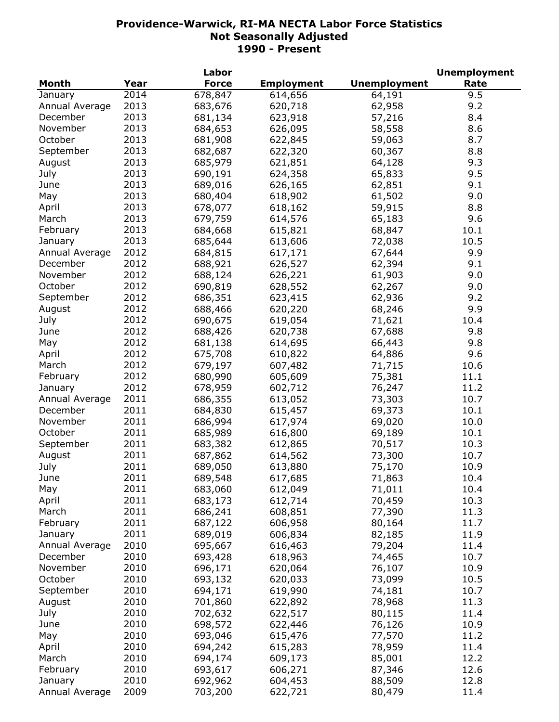|                |      | Labor        |                   |                     | <b>Unemployment</b> |
|----------------|------|--------------|-------------------|---------------------|---------------------|
| <b>Month</b>   | Year | <b>Force</b> | <b>Employment</b> | <b>Unemployment</b> | Rate                |
| January        | 2014 | 678,847      | 614,656           | 64,191              | 9.5                 |
| Annual Average | 2013 | 683,676      | 620,718           | 62,958              | 9.2                 |
| December       | 2013 | 681,134      | 623,918           | 57,216              | 8.4                 |
| November       | 2013 | 684,653      | 626,095           | 58,558              | 8.6                 |
| October        | 2013 | 681,908      | 622,845           | 59,063              | 8.7                 |
| September      | 2013 | 682,687      | 622,320           | 60,367              | 8.8                 |
| August         | 2013 | 685,979      | 621,851           | 64,128              | 9.3                 |
| July           | 2013 | 690,191      | 624,358           | 65,833              | 9.5                 |
| June           | 2013 | 689,016      | 626,165           | 62,851              | 9.1                 |
| May            | 2013 | 680,404      | 618,902           | 61,502              | 9.0                 |
| April          | 2013 | 678,077      | 618,162           | 59,915              | 8.8                 |
| March          | 2013 | 679,759      | 614,576           | 65,183              | 9.6                 |
|                | 2013 |              |                   |                     | 10.1                |
| February       |      | 684,668      | 615,821           | 68,847              |                     |
| January        | 2013 | 685,644      | 613,606           | 72,038              | 10.5                |
| Annual Average | 2012 | 684,815      | 617,171           | 67,644              | 9.9                 |
| December       | 2012 | 688,921      | 626,527           | 62,394              | 9.1                 |
| November       | 2012 | 688,124      | 626,221           | 61,903              | 9.0                 |
| October        | 2012 | 690,819      | 628,552           | 62,267              | 9.0                 |
| September      | 2012 | 686,351      | 623,415           | 62,936              | 9.2                 |
| August         | 2012 | 688,466      | 620,220           | 68,246              | 9.9                 |
| July           | 2012 | 690,675      | 619,054           | 71,621              | 10.4                |
| June           | 2012 | 688,426      | 620,738           | 67,688              | 9.8                 |
| May            | 2012 | 681,138      | 614,695           | 66,443              | 9.8                 |
| April          | 2012 | 675,708      | 610,822           | 64,886              | 9.6                 |
| March          | 2012 | 679,197      | 607,482           | 71,715              | 10.6                |
| February       | 2012 | 680,990      | 605,609           | 75,381              | 11.1                |
| January        | 2012 | 678,959      | 602,712           | 76,247              | 11.2                |
| Annual Average | 2011 | 686,355      | 613,052           | 73,303              | 10.7                |
| December       | 2011 | 684,830      | 615,457           | 69,373              | 10.1                |
| November       | 2011 | 686,994      | 617,974           | 69,020              | 10.0                |
| October        | 2011 | 685,989      | 616,800           | 69,189              | 10.1                |
| September      | 2011 | 683,382      | 612,865           | 70,517              | 10.3                |
| August         | 2011 | 687,862      | 614,562           | 73,300              | 10.7                |
| July           | 2011 | 689,050      | 613,880           | 75,170              | 10.9                |
| June           | 2011 | 689,548      | 617,685           | 71,863              | 10.4                |
| May            | 2011 | 683,060      | 612,049           | 71,011              | 10.4                |
| April          | 2011 | 683,173      | 612,714           | 70,459              | 10.3                |
| March          | 2011 | 686,241      | 608,851           | 77,390              | 11.3                |
| February       | 2011 | 687,122      | 606,958           | 80,164              | 11.7                |
| January        | 2011 | 689,019      | 606,834           | 82,185              | 11.9                |
|                | 2010 |              |                   |                     |                     |
| Annual Average |      | 695,667      | 616,463           | 79,204              | 11.4                |
| December       | 2010 | 693,428      | 618,963           | 74,465              | 10.7                |
| November       | 2010 | 696,171      | 620,064           | 76,107              | 10.9                |
| October        | 2010 | 693,132      | 620,033           | 73,099              | 10.5                |
| September      | 2010 | 694,171      | 619,990           | 74,181              | 10.7                |
| August         | 2010 | 701,860      | 622,892           | 78,968              | 11.3                |
| July           | 2010 | 702,632      | 622,517           | 80,115              | 11.4                |
| June           | 2010 | 698,572      | 622,446           | 76,126              | 10.9                |
| May            | 2010 | 693,046      | 615,476           | 77,570              | 11.2                |
| April          | 2010 | 694,242      | 615,283           | 78,959              | 11.4                |
| March          | 2010 | 694,174      | 609,173           | 85,001              | 12.2                |
| February       | 2010 | 693,617      | 606,271           | 87,346              | 12.6                |
| January        | 2010 | 692,962      | 604,453           | 88,509              | 12.8                |
| Annual Average | 2009 | 703,200      | 622,721           | 80,479              | 11.4                |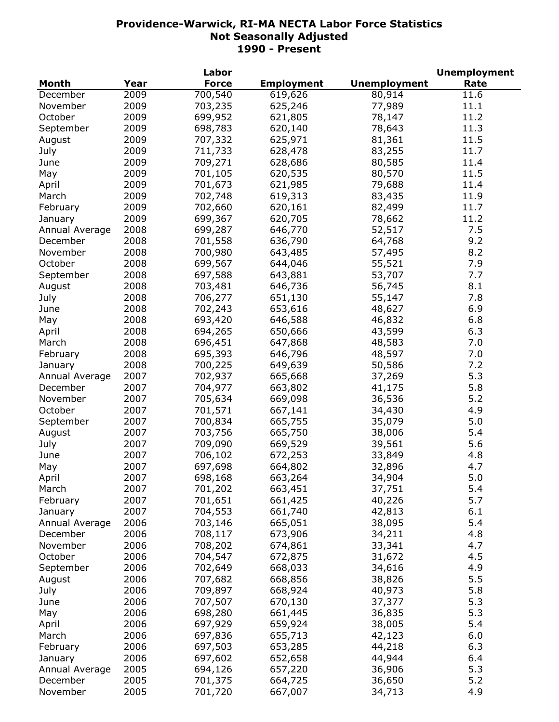|                |      | Labor        |                   |                     | <b>Unemployment</b> |
|----------------|------|--------------|-------------------|---------------------|---------------------|
| <b>Month</b>   | Year | <b>Force</b> | <b>Employment</b> | <b>Unemployment</b> | Rate                |
| December       | 2009 | 700,540      | 619,626           | 80,914              | 11.6                |
| November       | 2009 | 703,235      | 625,246           | 77,989              | 11.1                |
| October        | 2009 | 699,952      | 621,805           | 78,147              | 11.2                |
| September      | 2009 | 698,783      | 620,140           | 78,643              | 11.3                |
| August         | 2009 | 707,332      | 625,971           | 81,361              | 11.5                |
| July           | 2009 | 711,733      | 628,478           | 83,255              | 11.7                |
| June           | 2009 | 709,271      | 628,686           | 80,585              | 11.4                |
| May            | 2009 | 701,105      | 620,535           | 80,570              | 11.5                |
| April          | 2009 | 701,673      | 621,985           | 79,688              | 11.4                |
| March          | 2009 | 702,748      | 619,313           | 83,435              | 11.9                |
| February       | 2009 | 702,660      | 620,161           | 82,499              | 11.7                |
| January        | 2009 | 699,367      | 620,705           | 78,662              | 11.2                |
| Annual Average | 2008 | 699,287      | 646,770           | 52,517              | 7.5                 |
| December       | 2008 | 701,558      | 636,790           | 64,768              | 9.2                 |
| November       | 2008 | 700,980      | 643,485           | 57,495              | 8.2                 |
| October        | 2008 | 699,567      | 644,046           | 55,521              | 7.9                 |
| September      | 2008 | 697,588      | 643,881           | 53,707              | 7.7                 |
| August         | 2008 | 703,481      | 646,736           | 56,745              | 8.1                 |
| July           | 2008 | 706,277      | 651,130           | 55,147              | 7.8                 |
| June           | 2008 | 702,243      | 653,616           | 48,627              | 6.9                 |
|                | 2008 |              |                   |                     | 6.8                 |
| May            |      | 693,420      | 646,588           | 46,832              |                     |
| April          | 2008 | 694,265      | 650,666           | 43,599              | 6.3                 |
| March          | 2008 | 696,451      | 647,868           | 48,583              | 7.0                 |
| February       | 2008 | 695,393      | 646,796           | 48,597              | 7.0                 |
| January        | 2008 | 700,225      | 649,639           | 50,586              | 7.2                 |
| Annual Average | 2007 | 702,937      | 665,668           | 37,269              | 5.3                 |
| December       | 2007 | 704,977      | 663,802           | 41,175              | 5.8                 |
| November       | 2007 | 705,634      | 669,098           | 36,536              | 5.2                 |
| October        | 2007 | 701,571      | 667,141           | 34,430              | 4.9                 |
| September      | 2007 | 700,834      | 665,755           | 35,079              | 5.0                 |
| August         | 2007 | 703,756      | 665,750           | 38,006              | 5.4                 |
| July           | 2007 | 709,090      | 669,529           | 39,561              | 5.6                 |
| June           | 2007 | 706,102      | 672,253           | 33,849              | 4.8                 |
| May            | 2007 | 697,698      | 664,802           | 32,896              | 4.7                 |
| April          | 2007 | 698,168      | 663,264           | 34,904              | 5.0                 |
| March          | 2007 | 701,202      | 663,451           | 37,751              | 5.4                 |
| February       | 2007 | 701,651      | 661,425           | 40,226              | 5.7                 |
| January        | 2007 | 704,553      | 661,740           | 42,813              | 6.1                 |
| Annual Average | 2006 | 703,146      | 665,051           | 38,095              | 5.4                 |
| December       | 2006 | 708,117      | 673,906           | 34,211              | 4.8                 |
| November       | 2006 | 708,202      | 674,861           | 33,341              | 4.7                 |
| October        | 2006 | 704,547      | 672,875           | 31,672              | 4.5                 |
| September      | 2006 | 702,649      | 668,033           | 34,616              | 4.9                 |
| August         | 2006 | 707,682      | 668,856           | 38,826              | 5.5                 |
| July           | 2006 | 709,897      | 668,924           | 40,973              | 5.8                 |
| June           | 2006 | 707,507      | 670,130           | 37,377              | 5.3                 |
| May            | 2006 | 698,280      | 661,445           | 36,835              | 5.3                 |
| April          | 2006 | 697,929      | 659,924           | 38,005              | 5.4                 |
| March          | 2006 | 697,836      | 655,713           | 42,123              | 6.0                 |
| February       | 2006 | 697,503      | 653,285           | 44,218              | 6.3                 |
| January        | 2006 | 697,602      | 652,658           | 44,944              | 6.4                 |
| Annual Average | 2005 | 694,126      | 657,220           | 36,906              | 5.3                 |
| December       | 2005 | 701,375      | 664,725           | 36,650              | 5.2                 |
| November       | 2005 | 701,720      | 667,007           | 34,713              | 4.9                 |
|                |      |              |                   |                     |                     |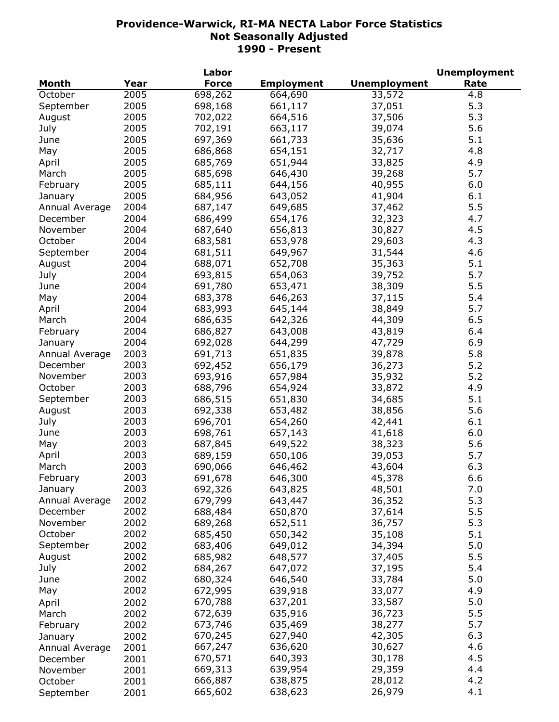|                |      | Labor        |                   |                     | <b>Unemployment</b> |
|----------------|------|--------------|-------------------|---------------------|---------------------|
| <b>Month</b>   | Year | <b>Force</b> | <b>Employment</b> | <b>Unemployment</b> | Rate                |
| October        | 2005 | 698,262      | 664,690           | 33,572              | 4.8                 |
| September      | 2005 | 698,168      | 661,117           | 37,051              | 5.3                 |
| August         | 2005 | 702,022      | 664,516           | 37,506              | 5.3                 |
| July           | 2005 | 702,191      | 663,117           | 39,074              | 5.6                 |
| June           | 2005 | 697,369      | 661,733           | 35,636              | 5.1                 |
| May            | 2005 | 686,868      | 654,151           | 32,717              | 4.8                 |
| April          | 2005 | 685,769      | 651,944           | 33,825              | 4.9                 |
| March          | 2005 | 685,698      | 646,430           | 39,268              | 5.7                 |
| February       | 2005 | 685,111      | 644,156           | 40,955              | 6.0                 |
| January        | 2005 | 684,956      | 643,052           | 41,904              | 6.1                 |
| Annual Average | 2004 | 687,147      | 649,685           | 37,462              | 5.5                 |
| December       | 2004 | 686,499      | 654,176           | 32,323              | 4.7                 |
| November       | 2004 | 687,640      | 656,813           | 30,827              | 4.5                 |
|                |      |              |                   |                     |                     |
| October        | 2004 | 683,581      | 653,978           | 29,603              | 4.3                 |
| September      | 2004 | 681,511      | 649,967           | 31,544              | 4.6                 |
| August         | 2004 | 688,071      | 652,708           | 35,363              | 5.1                 |
| July           | 2004 | 693,815      | 654,063           | 39,752              | 5.7                 |
| June           | 2004 | 691,780      | 653,471           | 38,309              | 5.5                 |
| May            | 2004 | 683,378      | 646,263           | 37,115              | 5.4                 |
| April          | 2004 | 683,993      | 645,144           | 38,849              | 5.7                 |
| March          | 2004 | 686,635      | 642,326           | 44,309              | 6.5                 |
| February       | 2004 | 686,827      | 643,008           | 43,819              | 6.4                 |
| January        | 2004 | 692,028      | 644,299           | 47,729              | 6.9                 |
| Annual Average | 2003 | 691,713      | 651,835           | 39,878              | 5.8                 |
| December       | 2003 | 692,452      | 656,179           | 36,273              | 5.2                 |
| November       | 2003 | 693,916      | 657,984           | 35,932              | 5.2                 |
| October        | 2003 | 688,796      | 654,924           | 33,872              | 4.9                 |
| September      | 2003 | 686,515      | 651,830           | 34,685              | 5.1                 |
| August         | 2003 | 692,338      | 653,482           | 38,856              | 5.6                 |
| July           | 2003 | 696,701      | 654,260           | 42,441              | 6.1                 |
| June           | 2003 | 698,761      | 657,143           | 41,618              | 6.0                 |
| May            | 2003 | 687,845      | 649,522           | 38,323              | 5.6                 |
| April          | 2003 | 689,159      | 650,106           | 39,053              | 5.7                 |
| March          | 2003 | 690,066      | 646,462           | 43,604              | 6.3                 |
| February       | 2003 | 691,678      | 646,300           | 45,378              | 6.6                 |
| January        | 2003 | 692,326      | 643,825           | 48,501              | 7.0                 |
| Annual Average | 2002 | 679,799      | 643,447           | 36,352              | 5.3                 |
| December       | 2002 | 688,484      | 650,870           | 37,614              | 5.5                 |
| November       | 2002 | 689,268      | 652,511           |                     | 5.3                 |
| October        | 2002 |              |                   | 36,757              |                     |
|                |      | 685,450      | 650,342           | 35,108              | 5.1                 |
| September      | 2002 | 683,406      | 649,012           | 34,394              | 5.0                 |
| August         | 2002 | 685,982      | 648,577           | 37,405              | 5.5                 |
| July           | 2002 | 684,267      | 647,072           | 37,195              | 5.4                 |
| June           | 2002 | 680,324      | 646,540           | 33,784              | 5.0                 |
| May            | 2002 | 672,995      | 639,918           | 33,077              | 4.9                 |
| April          | 2002 | 670,788      | 637,201           | 33,587              | 5.0                 |
| March          | 2002 | 672,639      | 635,916           | 36,723              | 5.5                 |
| February       | 2002 | 673,746      | 635,469           | 38,277              | 5.7                 |
| January        | 2002 | 670,245      | 627,940           | 42,305              | 6.3                 |
| Annual Average | 2001 | 667,247      | 636,620           | 30,627              | 4.6                 |
| December       | 2001 | 670,571      | 640,393           | 30,178              | 4.5                 |
| November       | 2001 | 669,313      | 639,954           | 29,359              | 4.4                 |
| October        | 2001 | 666,887      | 638,875           | 28,012              | 4.2                 |
| September      | 2001 | 665,602      | 638,623           | 26,979              | 4.1                 |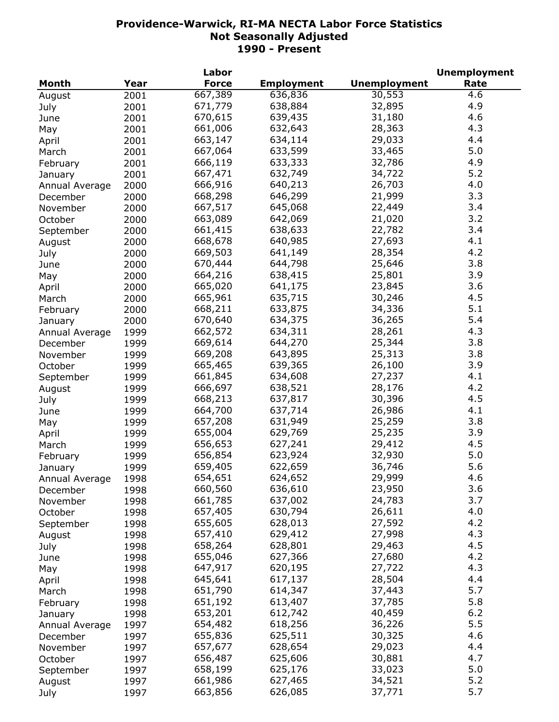|                |      | Labor        |                   |                     | <b>Unemployment</b> |
|----------------|------|--------------|-------------------|---------------------|---------------------|
| Month          | Year | <b>Force</b> | <b>Employment</b> | <b>Unemployment</b> | Rate                |
| August         | 2001 | 667,389      | 636,836           | 30,553              | 4.6                 |
| July           | 2001 | 671,779      | 638,884           | 32,895              | 4.9                 |
| June           | 2001 | 670,615      | 639,435           | 31,180              | 4.6                 |
| May            | 2001 | 661,006      | 632,643           | 28,363              | 4.3                 |
| April          | 2001 | 663,147      | 634,114           | 29,033              | 4.4                 |
| March          | 2001 | 667,064      | 633,599           | 33,465              | 5.0                 |
| February       | 2001 | 666,119      | 633,333           | 32,786              | 4.9                 |
| January        | 2001 | 667,471      | 632,749           | 34,722              | 5.2                 |
| Annual Average | 2000 | 666,916      | 640,213           | 26,703              | 4.0                 |
| December       | 2000 | 668,298      | 646,299           | 21,999              | 3.3                 |
| November       | 2000 | 667,517      | 645,068           | 22,449              | 3.4                 |
| October        | 2000 | 663,089      | 642,069           | 21,020              | 3.2                 |
| September      | 2000 | 661,415      | 638,633           | 22,782              | 3.4                 |
| August         | 2000 | 668,678      | 640,985           | 27,693              | 4.1                 |
|                | 2000 | 669,503      | 641,149           | 28,354              | 4.2                 |
| July           | 2000 | 670,444      | 644,798           | 25,646              | 3.8                 |
| June           |      | 664,216      | 638,415           | 25,801              | 3.9                 |
| May            | 2000 | 665,020      | 641,175           | 23,845              | 3.6                 |
| April          | 2000 |              |                   |                     | 4.5                 |
| March          | 2000 | 665,961      | 635,715           | 30,246              |                     |
| February       | 2000 | 668,211      | 633,875           | 34,336              | 5.1                 |
| January        | 2000 | 670,640      | 634,375           | 36,265              | 5.4                 |
| Annual Average | 1999 | 662,572      | 634,311           | 28,261              | 4.3                 |
| December       | 1999 | 669,614      | 644,270           | 25,344              | 3.8                 |
| November       | 1999 | 669,208      | 643,895           | 25,313              | 3.8                 |
| October        | 1999 | 665,465      | 639,365           | 26,100              | 3.9                 |
| September      | 1999 | 661,845      | 634,608           | 27,237              | 4.1                 |
| August         | 1999 | 666,697      | 638,521           | 28,176              | 4.2                 |
| July           | 1999 | 668,213      | 637,817           | 30,396              | 4.5                 |
| June           | 1999 | 664,700      | 637,714           | 26,986              | 4.1                 |
| May            | 1999 | 657,208      | 631,949           | 25,259              | 3.8                 |
| April          | 1999 | 655,004      | 629,769           | 25,235              | 3.9                 |
| March          | 1999 | 656,653      | 627,241           | 29,412              | 4.5                 |
| February       | 1999 | 656,854      | 623,924           | 32,930              | 5.0                 |
| January        | 1999 | 659,405      | 622,659           | 36,746              | 5.6                 |
| Annual Average | 1998 | 654,651      | 624,652           | 29,999              | 4.6                 |
| December       | 1998 | 660,560      | 636,610           | 23,950              | 3.6                 |
| November       | 1998 | 661,785      | 637,002           | 24,783              | 3.7                 |
| October        | 1998 | 657,405      | 630,794           | 26,611              | 4.0                 |
| September      | 1998 | 655,605      | 628,013           | 27,592              | 4.2                 |
| August         | 1998 | 657,410      | 629,412           | 27,998              | 4.3                 |
| July           | 1998 | 658,264      | 628,801           | 29,463              | 4.5                 |
| June           | 1998 | 655,046      | 627,366           | 27,680              | 4.2                 |
| May            | 1998 | 647,917      | 620,195           | 27,722              | 4.3                 |
| April          | 1998 | 645,641      | 617,137           | 28,504              | 4.4                 |
| March          | 1998 | 651,790      | 614,347           | 37,443              | 5.7                 |
| February       | 1998 | 651,192      | 613,407           | 37,785              | 5.8                 |
| January        | 1998 | 653,201      | 612,742           | 40,459              | 6.2                 |
| Annual Average | 1997 | 654,482      | 618,256           | 36,226              | 5.5                 |
| December       | 1997 | 655,836      | 625,511           | 30,325              | 4.6                 |
| November       | 1997 | 657,677      | 628,654           | 29,023              | 4.4                 |
| October        | 1997 | 656,487      | 625,606           | 30,881              | 4.7                 |
| September      | 1997 | 658,199      | 625,176           | 33,023              | 5.0                 |
| August         | 1997 | 661,986      | 627,465           | 34,521              | 5.2                 |
| July           | 1997 | 663,856      | 626,085           | 37,771              | 5.7                 |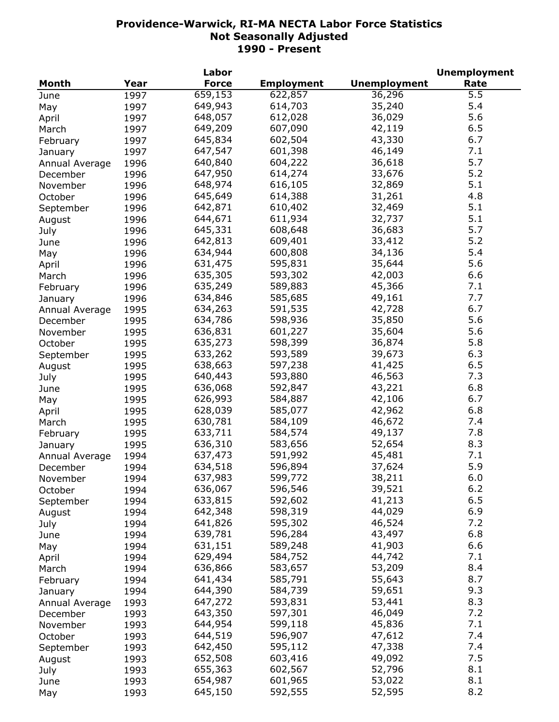|                |      | Labor        |                   |                     | <b>Unemployment</b> |
|----------------|------|--------------|-------------------|---------------------|---------------------|
| Month          | Year | <b>Force</b> | <b>Employment</b> | <b>Unemployment</b> | Rate                |
| June           | 1997 | 659,153      | 622,857           | 36,296              | 5.5                 |
| May            | 1997 | 649,943      | 614,703           | 35,240              | 5.4                 |
| April          | 1997 | 648,057      | 612,028           | 36,029              | 5.6                 |
| March          | 1997 | 649,209      | 607,090           | 42,119              | 6.5                 |
| February       | 1997 | 645,834      | 602,504           | 43,330              | 6.7                 |
| January        | 1997 | 647,547      | 601,398           | 46,149              | 7.1                 |
| Annual Average | 1996 | 640,840      | 604,222           | 36,618              | 5.7                 |
| December       | 1996 | 647,950      | 614,274           | 33,676              | 5.2                 |
| November       | 1996 | 648,974      | 616,105           | 32,869              | 5.1                 |
|                | 1996 | 645,649      | 614,388           | 31,261              | 4.8                 |
| October        |      | 642,871      | 610,402           | 32,469              | 5.1                 |
| September      | 1996 | 644,671      | 611,934           | 32,737              | 5.1                 |
| August         | 1996 |              |                   |                     | 5.7                 |
| July           | 1996 | 645,331      | 608,648           | 36,683              |                     |
| June           | 1996 | 642,813      | 609,401           | 33,412              | 5.2                 |
| May            | 1996 | 634,944      | 600,808           | 34,136              | 5.4                 |
| April          | 1996 | 631,475      | 595,831           | 35,644              | 5.6                 |
| March          | 1996 | 635,305      | 593,302           | 42,003              | 6.6                 |
| February       | 1996 | 635,249      | 589,883           | 45,366              | 7.1                 |
| January        | 1996 | 634,846      | 585,685           | 49,161              | 7.7                 |
| Annual Average | 1995 | 634,263      | 591,535           | 42,728              | 6.7                 |
| December       | 1995 | 634,786      | 598,936           | 35,850              | 5.6                 |
| November       | 1995 | 636,831      | 601,227           | 35,604              | 5.6                 |
| October        | 1995 | 635,273      | 598,399           | 36,874              | 5.8                 |
| September      | 1995 | 633,262      | 593,589           | 39,673              | 6.3                 |
| August         | 1995 | 638,663      | 597,238           | 41,425              | 6.5                 |
| July           | 1995 | 640,443      | 593,880           | 46,563              | 7.3                 |
| June           | 1995 | 636,068      | 592,847           | 43,221              | 6.8                 |
| May            | 1995 | 626,993      | 584,887           | 42,106              | 6.7                 |
| April          | 1995 | 628,039      | 585,077           | 42,962              | 6.8                 |
| March          | 1995 | 630,781      | 584,109           | 46,672              | 7.4                 |
| February       | 1995 | 633,711      | 584,574           | 49,137              | 7.8                 |
| January        | 1995 | 636,310      | 583,656           | 52,654              | 8.3                 |
| Annual Average | 1994 | 637,473      | 591,992           | 45,481              | 7.1                 |
| December       | 1994 | 634,518      | 596,894           | 37,624              | 5.9                 |
| November       | 1994 | 637,983      | 599,772           | 38,211              | 6.0                 |
| October        | 1994 | 636,067      | 596,546           | 39,521              | 6.2                 |
| September      | 1994 | 633,815      | 592,602           | 41,213              | 6.5                 |
|                | 1994 | 642,348      | 598,319           | 44,029              | 6.9                 |
| August         | 1994 | 641,826      | 595,302           | 46,524              | 7.2                 |
| July           |      | 639,781      | 596,284           | 43,497              | 6.8                 |
| June           | 1994 | 631,151      | 589,248           | 41,903              | 6.6                 |
| May            | 1994 | 629,494      |                   |                     | 7.1                 |
| April          | 1994 |              | 584,752           | 44,742              |                     |
| March          | 1994 | 636,866      | 583,657           | 53,209              | 8.4                 |
| February       | 1994 | 641,434      | 585,791           | 55,643              | 8.7                 |
| January        | 1994 | 644,390      | 584,739           | 59,651              | 9.3                 |
| Annual Average | 1993 | 647,272      | 593,831           | 53,441              | 8.3                 |
| December       | 1993 | 643,350      | 597,301           | 46,049              | 7.2                 |
| November       | 1993 | 644,954      | 599,118           | 45,836              | 7.1                 |
| October        | 1993 | 644,519      | 596,907           | 47,612              | 7.4                 |
| September      | 1993 | 642,450      | 595,112           | 47,338              | 7.4                 |
| August         | 1993 | 652,508      | 603,416           | 49,092              | 7.5                 |
| July           | 1993 | 655,363      | 602,567           | 52,796              | 8.1                 |
| June           | 1993 | 654,987      | 601,965           | 53,022              | 8.1                 |
| May            | 1993 | 645,150      | 592,555           | 52,595              | 8.2                 |